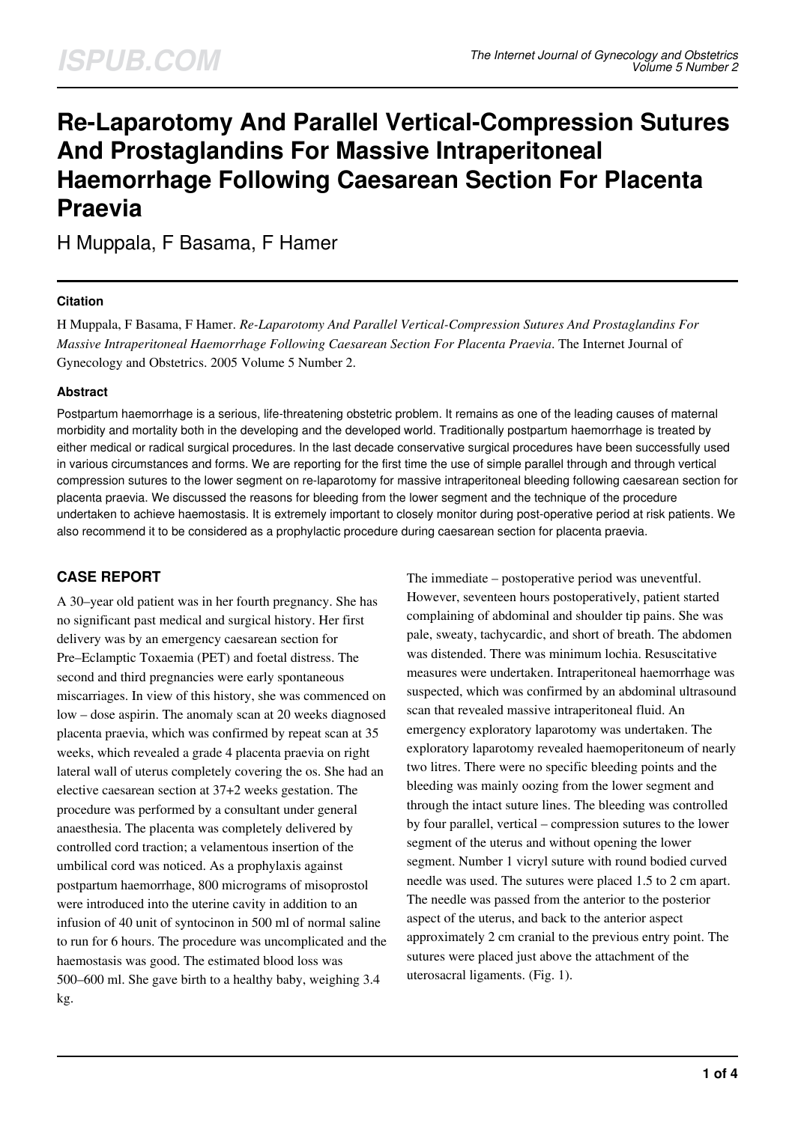# **Re-Laparotomy And Parallel Vertical-Compression Sutures And Prostaglandins For Massive Intraperitoneal Haemorrhage Following Caesarean Section For Placenta Praevia**

H Muppala, F Basama, F Hamer

## **Citation**

H Muppala, F Basama, F Hamer. *Re-Laparotomy And Parallel Vertical-Compression Sutures And Prostaglandins For Massive Intraperitoneal Haemorrhage Following Caesarean Section For Placenta Praevia*. The Internet Journal of Gynecology and Obstetrics. 2005 Volume 5 Number 2.

## **Abstract**

Postpartum haemorrhage is a serious, life-threatening obstetric problem. It remains as one of the leading causes of maternal morbidity and mortality both in the developing and the developed world. Traditionally postpartum haemorrhage is treated by either medical or radical surgical procedures. In the last decade conservative surgical procedures have been successfully used in various circumstances and forms. We are reporting for the first time the use of simple parallel through and through vertical compression sutures to the lower segment on re-laparotomy for massive intraperitoneal bleeding following caesarean section for placenta praevia. We discussed the reasons for bleeding from the lower segment and the technique of the procedure undertaken to achieve haemostasis. It is extremely important to closely monitor during post-operative period at risk patients. We also recommend it to be considered as a prophylactic procedure during caesarean section for placenta praevia.

## **CASE REPORT**

A 30–year old patient was in her fourth pregnancy. She has no significant past medical and surgical history. Her first delivery was by an emergency caesarean section for Pre–Eclamptic Toxaemia (PET) and foetal distress. The second and third pregnancies were early spontaneous miscarriages. In view of this history, she was commenced on low – dose aspirin. The anomaly scan at 20 weeks diagnosed placenta praevia, which was confirmed by repeat scan at 35 weeks, which revealed a grade 4 placenta praevia on right lateral wall of uterus completely covering the os. She had an elective caesarean section at 37+2 weeks gestation. The procedure was performed by a consultant under general anaesthesia. The placenta was completely delivered by controlled cord traction; a velamentous insertion of the umbilical cord was noticed. As a prophylaxis against postpartum haemorrhage, 800 micrograms of misoprostol were introduced into the uterine cavity in addition to an infusion of 40 unit of syntocinon in 500 ml of normal saline to run for 6 hours. The procedure was uncomplicated and the haemostasis was good. The estimated blood loss was 500–600 ml. She gave birth to a healthy baby, weighing 3.4 kg.

The immediate – postoperative period was uneventful. However, seventeen hours postoperatively, patient started complaining of abdominal and shoulder tip pains. She was pale, sweaty, tachycardic, and short of breath. The abdomen was distended. There was minimum lochia. Resuscitative measures were undertaken. Intraperitoneal haemorrhage was suspected, which was confirmed by an abdominal ultrasound scan that revealed massive intraperitoneal fluid. An emergency exploratory laparotomy was undertaken. The exploratory laparotomy revealed haemoperitoneum of nearly two litres. There were no specific bleeding points and the bleeding was mainly oozing from the lower segment and through the intact suture lines. The bleeding was controlled by four parallel, vertical – compression sutures to the lower segment of the uterus and without opening the lower segment. Number 1 vicryl suture with round bodied curved needle was used. The sutures were placed 1.5 to 2 cm apart. The needle was passed from the anterior to the posterior aspect of the uterus, and back to the anterior aspect approximately 2 cm cranial to the previous entry point. The sutures were placed just above the attachment of the uterosacral ligaments. (Fig. 1).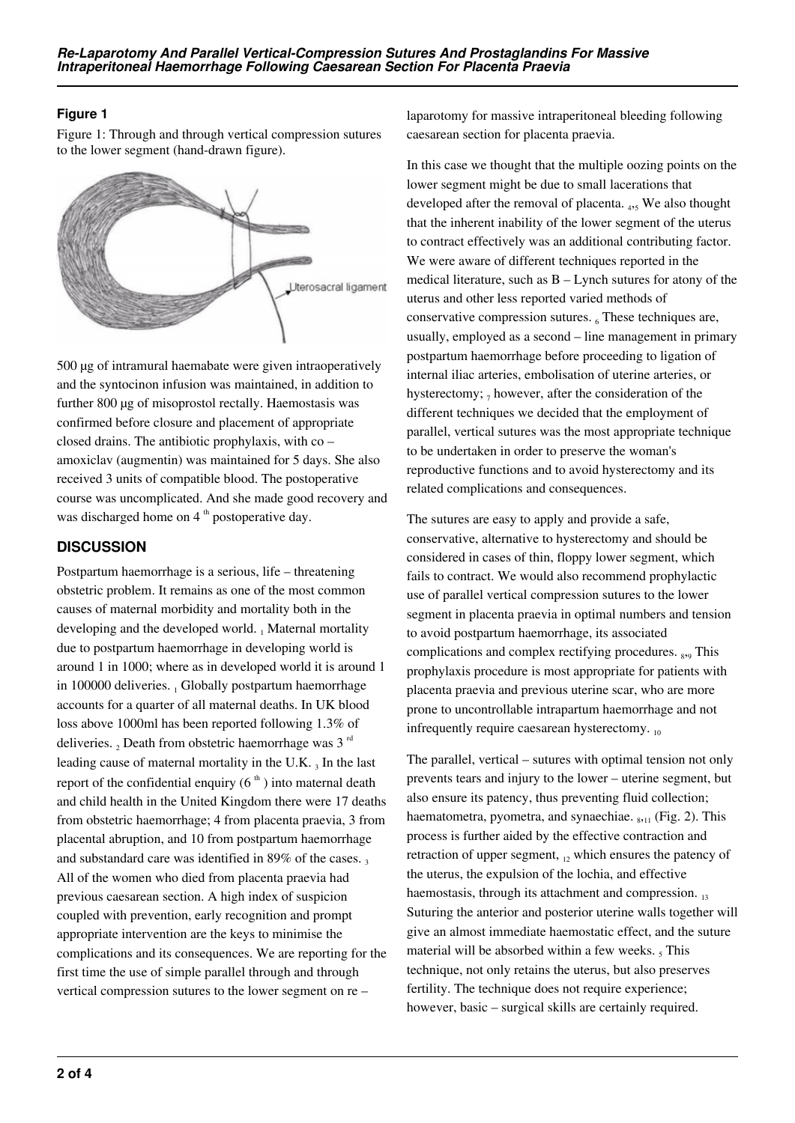## **Figure 1**

Figure 1: Through and through vertical compression sutures to the lower segment (hand-drawn figure).



500 µg of intramural haemabate were given intraoperatively and the syntocinon infusion was maintained, in addition to further 800 µg of misoprostol rectally. Haemostasis was confirmed before closure and placement of appropriate closed drains. The antibiotic prophylaxis, with co – amoxiclav (augmentin) was maintained for 5 days. She also received 3 units of compatible blood. The postoperative course was uncomplicated. And she made good recovery and was discharged home on 4<sup>th</sup> postoperative day.

## **DISCUSSION**

Postpartum haemorrhage is a serious, life – threatening obstetric problem. It remains as one of the most common causes of maternal morbidity and mortality both in the developing and the developed world. A Maternal mortality due to postpartum haemorrhage in developing world is around 1 in 1000; where as in developed world it is around 1 in 100000 deliveries. 1 Globally postpartum haemorrhage accounts for a quarter of all maternal deaths. In UK blood loss above 1000ml has been reported following 1.3% of deliveries.  $_2$  Death from obstetric haemorrhage was 3  $^{\text{rd}}$ leading cause of maternal mortality in the U.K.  $_3$  In the last report of the confidential enquiry  $(6<sup>th</sup>)$  into maternal death and child health in the United Kingdom there were 17 deaths from obstetric haemorrhage; 4 from placenta praevia, 3 from placental abruption, and 10 from postpartum haemorrhage and substandard care was identified in  $89\%$  of the cases. All of the women who died from placenta praevia had previous caesarean section. A high index of suspicion coupled with prevention, early recognition and prompt appropriate intervention are the keys to minimise the complications and its consequences. We are reporting for the first time the use of simple parallel through and through vertical compression sutures to the lower segment on re –

laparotomy for massive intraperitoneal bleeding following caesarean section for placenta praevia.

In this case we thought that the multiple oozing points on the lower segment might be due to small lacerations that developed after the removal of placenta. 4,5 We also thought that the inherent inability of the lower segment of the uterus to contract effectively was an additional contributing factor. We were aware of different techniques reported in the medical literature, such as B – Lynch sutures for atony of the uterus and other less reported varied methods of conservative compression sutures. 6 These techniques are, usually, employed as a second – line management in primary postpartum haemorrhage before proceeding to ligation of internal iliac arteries, embolisation of uterine arteries, or hysterectomy;  $_7$  however, after the consideration of the different techniques we decided that the employment of parallel, vertical sutures was the most appropriate technique to be undertaken in order to preserve the woman's reproductive functions and to avoid hysterectomy and its related complications and consequences.

The sutures are easy to apply and provide a safe, conservative, alternative to hysterectomy and should be considered in cases of thin, floppy lower segment, which fails to contract. We would also recommend prophylactic use of parallel vertical compression sutures to the lower segment in placenta praevia in optimal numbers and tension to avoid postpartum haemorrhage, its associated complications and complex rectifying procedures. <sub>8,9</sub> This prophylaxis procedure is most appropriate for patients with placenta praevia and previous uterine scar, who are more prone to uncontrollable intrapartum haemorrhage and not infrequently require caesarean hysterectomy. <sub>10</sub>

The parallel, vertical – sutures with optimal tension not only prevents tears and injury to the lower – uterine segment, but also ensure its patency, thus preventing fluid collection; haematometra, pyometra, and synaechiae.  $_{8,11}$  (Fig. 2). This process is further aided by the effective contraction and retraction of upper segment,  $_{12}$  which ensures the patency of the uterus, the expulsion of the lochia, and effective haemostasis, through its attachment and compression.  $_{13}$ Suturing the anterior and posterior uterine walls together will give an almost immediate haemostatic effect, and the suture material will be absorbed within a few weeks.  $<sub>5</sub>$  This</sub> technique, not only retains the uterus, but also preserves fertility. The technique does not require experience; however, basic – surgical skills are certainly required.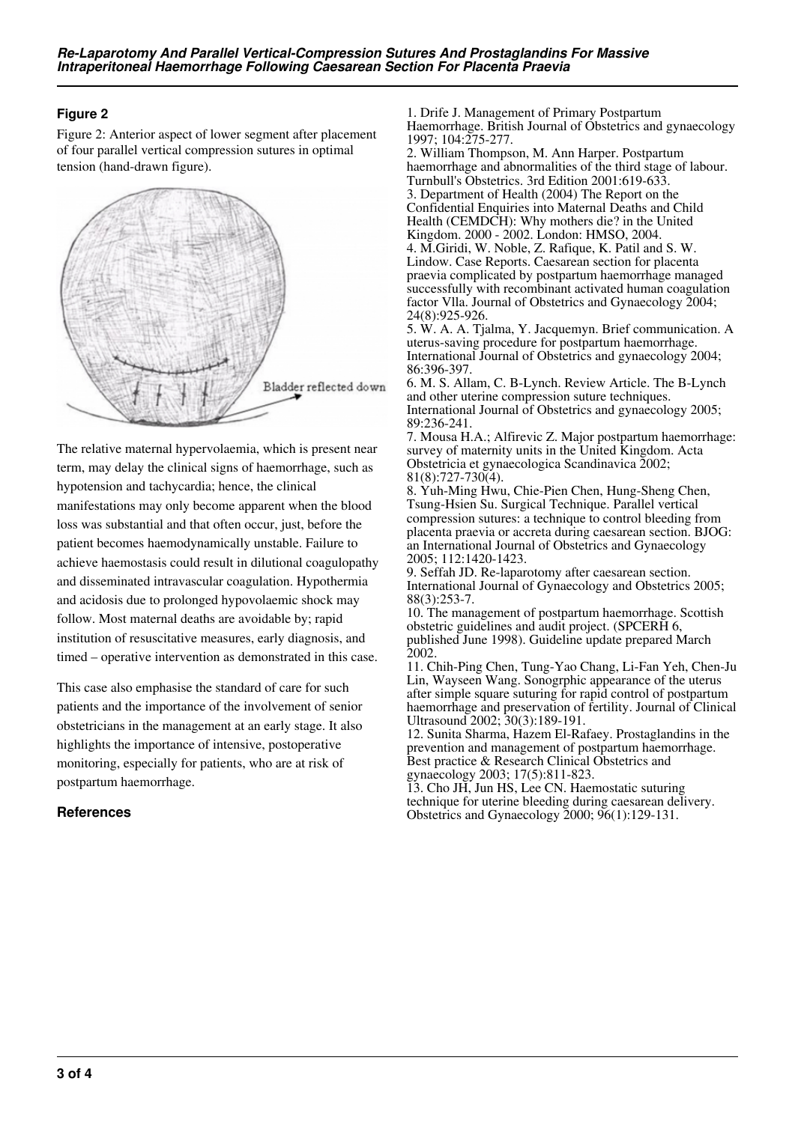## **Figure 2**

Figure 2: Anterior aspect of lower segment after placement of four parallel vertical compression sutures in optimal tension (hand-drawn figure).



The relative maternal hypervolaemia, which is present near term, may delay the clinical signs of haemorrhage, such as hypotension and tachycardia; hence, the clinical manifestations may only become apparent when the blood loss was substantial and that often occur, just, before the patient becomes haemodynamically unstable. Failure to achieve haemostasis could result in dilutional coagulopathy and disseminated intravascular coagulation. Hypothermia and acidosis due to prolonged hypovolaemic shock may follow. Most maternal deaths are avoidable by; rapid institution of resuscitative measures, early diagnosis, and timed – operative intervention as demonstrated in this case.

This case also emphasise the standard of care for such patients and the importance of the involvement of senior obstetricians in the management at an early stage. It also highlights the importance of intensive, postoperative monitoring, especially for patients, who are at risk of postpartum haemorrhage.

## **References**

1. Drife J. Management of Primary Postpartum Haemorrhage. British Journal of Obstetrics and gynaecology 1997; 104:275-277.

2. William Thompson, M. Ann Harper. Postpartum haemorrhage and abnormalities of the third stage of labour. Turnbull's Obstetrics. 3rd Edition 2001:619-633. 3. Department of Health (2004) The Report on the Confidential Enquiries into Maternal Deaths and Child Health (CEMDCH): Why mothers die? in the United Kingdom. 2000 - 2002. London: HMSO, 2004. 4. M.Giridi, W. Noble, Z. Rafique, K. Patil and S. W.

Lindow. Case Reports. Caesarean section for placenta praevia complicated by postpartum haemorrhage managed successfully with recombinant activated human coagulation factor Vlla. Journal of Obstetrics and Gynaecology 2004; 24(8):925-926.

5. W. A. A. Tjalma, Y. Jacquemyn. Brief communication. A uterus-saving procedure for postpartum haemorrhage. International Journal of Obstetrics and gynaecology 2004; 86:396-397.

6. M. S. Allam, C. B-Lynch. Review Article. The B-Lynch and other uterine compression suture techniques. International Journal of Obstetrics and gynaecology 2005; 89:236-241.

7. Mousa H.A.; Alfirevic Z. Major postpartum haemorrhage: survey of maternity units in the United Kingdom. Acta Obstetricia et gynaecologica Scandinavica 2002; 81(8):727-730(4).

8. Yuh-Ming Hwu, Chie-Pien Chen, Hung-Sheng Chen, Tsung-Hsien Su. Surgical Technique. Parallel vertical compression sutures: a technique to control bleeding from placenta praevia or accreta during caesarean section. BJOG: an International Journal of Obstetrics and Gynaecology 2005; 112:1420-1423.

9. Seffah JD. Re-laparotomy after caesarean section. International Journal of Gynaecology and Obstetrics 2005; 88(3):253-7.

10. The management of postpartum haemorrhage. Scottish obstetric guidelines and audit project. (SPCERH 6, published June 1998). Guideline update prepared March 2002.

11. Chih-Ping Chen, Tung-Yao Chang, Li-Fan Yeh, Chen-Ju Lin, Wayseen Wang. Sonogrphic appearance of the uterus after simple square suturing for rapid control of postpartum haemorrhage and preservation of fertility. Journal of Clinical Ultrasound 2002; 30(3):189-191.

12. Sunita Sharma, Hazem El-Rafaey. Prostaglandins in the prevention and management of postpartum haemorrhage. Best practice & Research Clinical Obstetrics and gynaecology 2003; 17(5):811-823.

13. Cho JH, Jun HS, Lee CN. Haemostatic suturing technique for uterine bleeding during caesarean delivery. Obstetrics and Gynaecology 2000; 96(1):129-131.